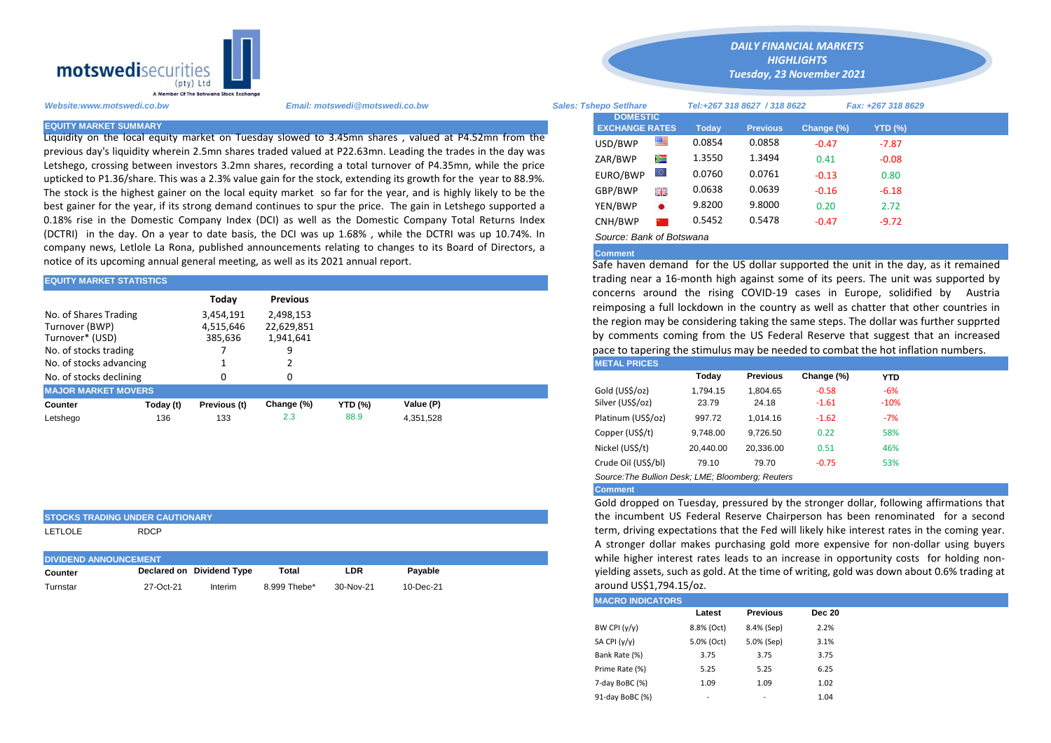

Liquidity on the local equity market on Tuesday slowed to 3.45mn shares , valued at P4.52mn from the previous day's liquidity wherein 2.5mn shares traded valued at P22.63mn. Leading the trades in the day was Letshego, crossing between investors 3.2mn shares, recording a total turnover of P4.35mn, while the price upticked to P1.36/share. This was a 2.3% value gain for the stock, extending its growth for the year to 88.9%. The stock is the highest gainer on the local equity market so far for the year, and is highly likely to be the best gainer for the year, if its strong demand continues to spur the price. The gain in Letshego supported a 0.18% rise in the Domestic Company Index (DCI) as well as the Domestic Company Total Returns Index (DCTRI) in the day. On a year to date basis, the DCI was up 1.68% , while the DCTRI was up 10.74%. In company news, Letlole La Rona, published announcements relating to changes to its Board of Directors, a notice of its upcoming annual general meeting, as well as its 2021 annual report.

| <b>EQUITY MARKET STATISTICS</b>         |           |                        |                                            |                |           |  | trading hear a 16-month high against some of its peers. The unit wa                                                                             |          |                 |            |            |  |  |
|-----------------------------------------|-----------|------------------------|--------------------------------------------|----------------|-----------|--|-------------------------------------------------------------------------------------------------------------------------------------------------|----------|-----------------|------------|------------|--|--|
|                                         |           | Today                  | <b>Previous</b><br>2.498.153<br>22,629,851 |                |           |  | concerns around the rising COVID-19 cases in Europe, solidifie                                                                                  |          |                 |            |            |  |  |
| No. of Shares Trading<br>Turnover (BWP) |           | 3,454,191<br>4,515,646 |                                            |                |           |  | reimposing a full lockdown in the country as well as chatter that oth<br>the region may be considering taking the same steps. The dollar was fo |          |                 |            |            |  |  |
| Turnover* (USD)<br>385,636<br>1,941,641 |           |                        |                                            |                |           |  | by comments coming from the US Federal Reserve that suggest that                                                                                |          |                 |            |            |  |  |
| No. of stocks trading                   |           |                        |                                            |                |           |  | pace to tapering the stimulus may be needed to combat the hot inflati                                                                           |          |                 |            |            |  |  |
| No. of stocks advancing                 |           |                        |                                            |                |           |  | <b>METAL PRICES</b>                                                                                                                             |          |                 |            |            |  |  |
| No. of stocks declining                 |           |                        |                                            |                |           |  |                                                                                                                                                 | Today    | <b>Previous</b> | Change (%) | <b>YTD</b> |  |  |
| <b>MAJOR MARKET MOVERS</b>              |           |                        |                                            |                |           |  | Gold (US\$/oz)                                                                                                                                  | 1.794.15 | 1.804.65        | $-0.58$    | $-6%$      |  |  |
| Counter                                 | Today (t) | Previous (t)           | Change (%)                                 | <b>YTD (%)</b> | Value (P) |  | Silver (US\$/oz)                                                                                                                                | 23.79    | 24.18           | $-1.61$    | $-10%$     |  |  |
| Letshego                                | 136       | 133                    | 2.3                                        | 88.9           | 4.351.528 |  | Platinum (US\$/oz)                                                                                                                              | 997.72   | 1.014.16        | $-1.62$    | $-7%$      |  |  |

# **STOCKS TRADING UNDER CAUTIONARY**

LETLOLE RDCP

| <b>DIVIDEND ANNOUNCEMENT</b> |           |                           |              |           |           |  |  |  |
|------------------------------|-----------|---------------------------|--------------|-----------|-----------|--|--|--|
| Counter                      |           | Declared on Dividend Type | Total        | LDR       | Pavable   |  |  |  |
| Turnstar                     | 27-Oct-21 | Interim                   | 8.999 Thebe* | 30-Nov-21 | 10-Dec-21 |  |  |  |

*Website:www.motswedi.co.bw Email: motswedi@motswedi.co.bw Sales: Tshepo Setlhare Tel:+267 318 8627 / 318 8622 Fax: +267 318 8629*  **EQUITY MARKET SUMMARY Today Previous Change (%) YTD (%)**  $\overline{\mathsf{USD/BWP}}$   $\overline{\mathsf{III}}$  0.0854 0.0858 -0.47 -7.87 ZAR/BWP 1.3550 1.3494 0.41 -0.08 EURO/BWP 0.0760 0.0761 -0.13 0.80 GBP/BWP **ELE** 0.0638 0.0639 -0.16 -6.18 YEN/BWP 9.8200 9.8000 0.20 2.72 CNH/BWP 2 0.5452 0.5478 -0.47 -9.72 *Source: Bank of Botswana*  **DOMESTIC EXCHANGE RATES**

*DAILY FINANCIAL MARKETS HIGHLIGHTS Tuesday, 23 November 2021* 

## **Comment**

Safe haven demand for the US dollar supported the unit in the day, as it remained trading near a 16-month high against some of its peers. The unit was supported by concerns around the rising COVID-19 cases in Europe, solidified by Austria reimposing a full lockdown in the country as well as chatter that other countries in the region may be considering taking the same steps. The dollar was further supprted by comments coming from the US Federal Reserve that suggest that an increased pace to tapering the stimulus may be needed to combat the hot inflation numbers.

|                     | Today     | <b>Previous</b> | Change (%) | <b>YTD</b> |
|---------------------|-----------|-----------------|------------|------------|
| Gold (US\$/oz)      | 1.794.15  | 1.804.65        | $-0.58$    | $-6%$      |
| Silver (US\$/oz)    | 23.79     | 24.18           | $-1.61$    | $-10%$     |
| Platinum (US\$/oz)  | 997.72    | 1.014.16        | $-1.62$    | $-7%$      |
| Copper (US\$/t)     | 9.748.00  | 9.726.50        | 0.22       | 58%        |
| Nickel (US\$/t)     | 20.440.00 | 20.336.00       | 0.51       | 46%        |
| Crude Oil (US\$/bl) | 79.10     | 79.70           | $-0.75$    | 53%        |
|                     |           |                 |            |            |

*Source:The Bullion Desk; LME; Bloomberg; Reuters* 

### **Comment**

Gold dropped on Tuesday, pressured by the stronger dollar, following affirmations that the incumbent US Federal Reserve Chairperson has been renominated for a second term, driving expectations that the Fed will likely hike interest rates in the coming year. A stronger dollar makes purchasing gold more expensive for non-dollar using buyers while higher interest rates leads to an increase in opportunity costs for holding nonyielding assets, such as gold. At the time of writing, gold was down about 0.6% trading at around US\$1,794.15/oz.

| Latest     | <b>Previous</b> | <b>Dec 20</b> |  |
|------------|-----------------|---------------|--|
| 8.8% (Oct) | 8.4% (Sep)      | 2.2%          |  |
| 5.0% (Oct) | 5.0% (Sep)      | 3.1%          |  |
| 3.75       | 3.75            | 3.75          |  |
| 5.25       | 5.25            | 6.25          |  |
| 1.09       | 1.09            | 1.02          |  |
| ۰          |                 | 1.04          |  |
|            |                 |               |  |